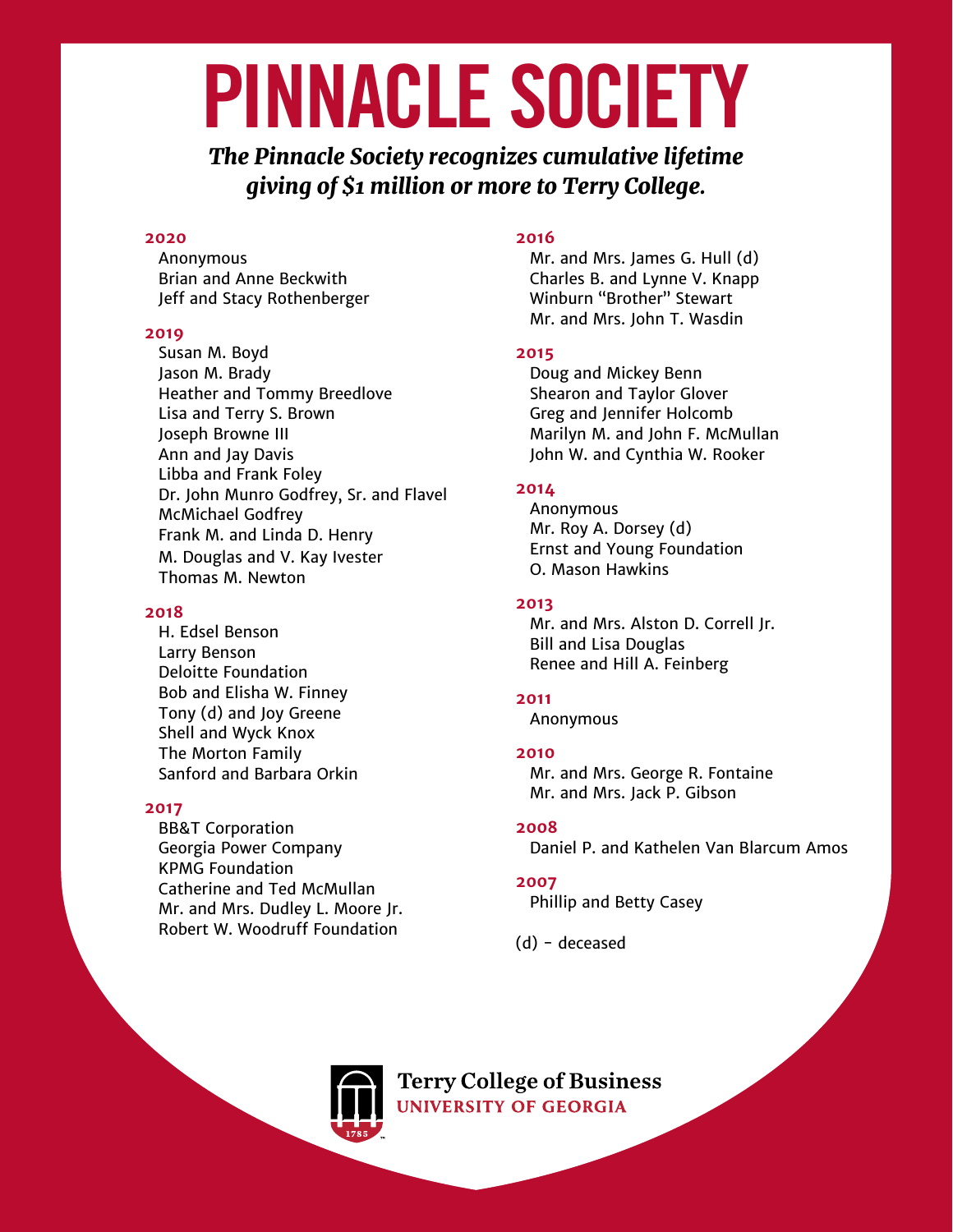# PINNACLE SOCIETY

*The Pinnacle Society recognizes cumulative lifetime giving of \$1 million or more to Terry College.*

#### **2020**

Anonymous Brian and Anne Beckwith Jeff and Stacy Rothenberger

## **2019**

 Susan M. Boyd Jason M. Brady Heather and Tommy Breedlove Lisa and Terry S. Brown Joseph Browne III Ann and Jay Davis Libba and Frank Foley Dr. John Munro Godfrey, Sr. and Flavel McMichael Godfrey Frank M. and Linda D. Henry M. Douglas and V. Kay Ivester Thomas M. Newton

## **2018**

 H. Edsel Benson Larry Benson Deloitte Foundation Bob and Elisha W. Finney Tony (d) and Joy Greene Shell and Wyck Knox The Morton Family Sanford and Barbara Orkin

#### **2017**

BB&T Corporation Georgia Power Company KPMG Foundation Catherine and Ted McMullan Mr. and Mrs. Dudley L. Moore Jr. Robert W. Woodruff Foundation

## **2016**

 Mr. and Mrs. James G. Hull (d) Charles B. and Lynne V. Knapp Winburn "Brother" Stewart Mr. and Mrs. John T. Wasdin

## **2015**

 Doug and Mickey Benn Shearon and Taylor Glover Greg and Jennifer Holcomb Marilyn M. and John F. McMullan John W. and Cynthia W. Rooker

# **2014**

Anonymous Mr. Roy A. Dorsey (d) Ernst and Young Foundation O. Mason Hawkins

# **2013**

 Mr. and Mrs. Alston D. Correll Jr. Bill and Lisa Douglas Renee and Hill A. Feinberg

# **2011**

Anonymous

## **2010**

 Mr. and Mrs. George R. Fontaine Mr. and Mrs. Jack P. Gibson

# **2008**

 Daniel P. and Kathelen Van Blarcum Amos

## **2007**

 Phillip and Betty Casey

(d) - deceased

**Terry College of Business UNIVERSITY OF GEORGIA**